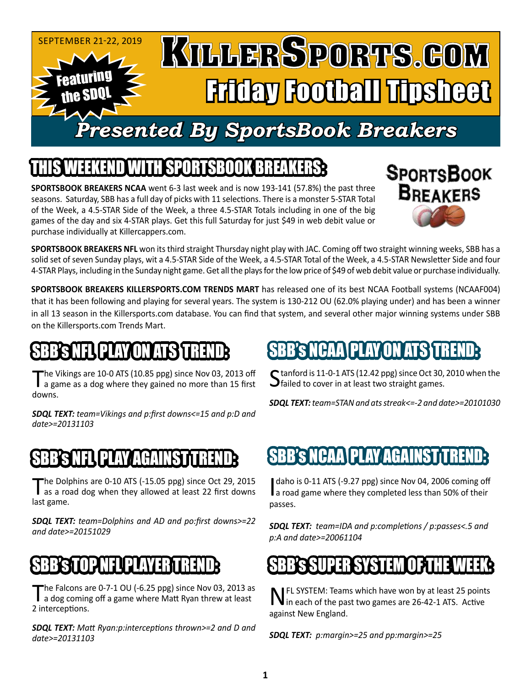

## SPORTSBOOK BR

**SPORTSBOOK BREAKERS NCAA** went 6-3 last week and is now 193-141 (57.8%) the past three seasons. Saturday, SBB has a full day of picks with 11 selections. There is a monster 5-STAR Total of the Week, a 4.5-STAR Side of the Week, a three 4.5-STAR Totals including in one of the big games of the day and six 4-STAR plays. Get this full Saturday for just \$49 in web debit value or purchase individually at Killercappers.com.



**SPORTSBOOK BREAKERS NFL** won its third straight Thursday night play with JAC. Coming off two straight winning weeks, SBB has a solid set of seven Sunday plays, wit a 4.5-STAR Side of the Week, a 4.5-STAR Total of the Week, a 4.5-STAR Newsletter Side and four 4-STAR Plays, including in the Sunday night game. Get all the plays for the low price of \$49 of web debit value or purchase individually.

**SPORTSBOOK BREAKERS KILLERSPORTS.COM TRENDS MART** has released one of its best NCAA Football systems (NCAAF004) that it has been following and playing for several years. The system is 130-212 OU (62.0% playing under) and has been a winner in all 13 season in the Killersports.com database. You can find that system, and several other major winning systems under SBB on the Killersports.com Trends Mart.

# NFLJ PLAY ON ATS STRE

The Vikings are 10-0 ATS (10.85 ppg) since Nov 03, 2013 off<br>a game as a dog where they gained no more than 15 first downs.

*SDQL TEXT: team=Vikings and p:first downs<=15 and p:D and date>=20131103*

## BS NELED AV AGAINST

The Dolphins are 0-10 ATS (-15.05 ppg) since Oct 29, 2015<br>
as a road dog when they allowed at least 22 first downs last game.

*SDQL TEXT: team=Dolphins and AD and po:first downs>=22 and date>=20151029*

### $\mathbf S$ b's T $\mathbf W$

The Falcons are 0-7-1 OU (-6.25 ppg) since Nov 03, 2013 as<br>a dog coming off a game where Matt Ryan threw at least 2 interceptions.

*SDQL TEXT: Matt Ryan:p:interceptions thrown>=2 and D and date>=20131103*

# SBB'S NCAA PLAY ON ATS T

C tanford is 11-0-1 ATS (12.42 ppg) since Oct 30, 2010 when the  $\bigcup$  failed to cover in at least two straight games.

*SDQL TEXT: team=STAN and ats streak<=-2 and date>=20101030*

### SBB's NCAA PLAY AGAINST

daho is 0-11 ATS (-9.27 ppg) since Nov 04, 2006 coming off a road game where they completed less than 50% of their daho is 0-11 ATS (-9.27 ppg) since Nov 04, 2006 coming off passes.

*SDQL TEXT: team=IDA and p:completions / p:passes<.5 and p:A and date>=20061104*

### SSUPER SERVICE OF THE WEEK SERVED STATES OF THE WEEK STATES OF THE WEEK STATES OF THE WEEK STATES OF THE WEEK

**NFL SYSTEM:** Teams which have won by at least 25 points in each of the past two games are 26-42-1 ATS. Active against New England.

*SDQL TEXT: p:margin>=25 and pp:margin>=25*